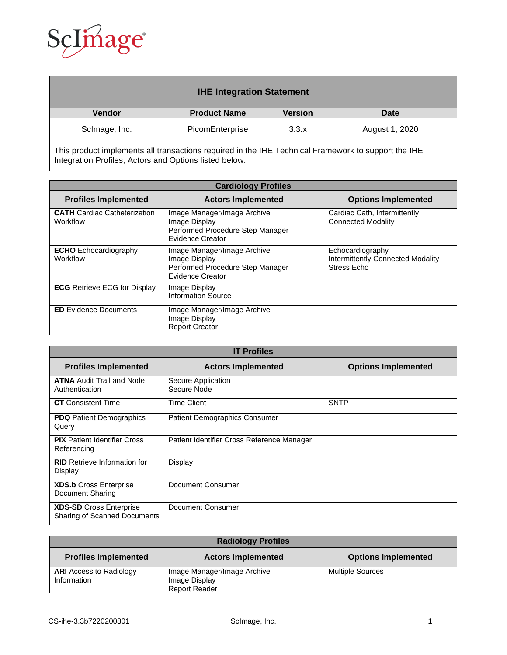

| <b>IHE Integration Statement</b> |                     |                |                |
|----------------------------------|---------------------|----------------|----------------|
| <b>Vendor</b>                    | <b>Product Name</b> | <b>Version</b> | Date           |
| ScImage, Inc.                    | PicomEnterprise     | 3.3.x          | August 1, 2020 |

This product implements all transactions required in the IHE Technical Framework to support the IHE Integration Profiles, Actors and Options listed below:

| <b>Cardiology Profiles</b>                      |                                                                                                             |                                                                             |
|-------------------------------------------------|-------------------------------------------------------------------------------------------------------------|-----------------------------------------------------------------------------|
| <b>Profiles Implemented</b>                     | <b>Actors Implemented</b>                                                                                   | <b>Options Implemented</b>                                                  |
| <b>CATH</b> Cardiac Catheterization<br>Workflow | Image Manager/Image Archive<br>Image Display<br>Performed Procedure Step Manager<br><b>Evidence Creator</b> | Cardiac Cath, Intermittently<br><b>Connected Modality</b>                   |
| <b>ECHO</b> Echocardiography<br>Workflow        | Image Manager/Image Archive<br>Image Display<br>Performed Procedure Step Manager<br><b>Evidence Creator</b> | Echocardiography<br><b>Intermittently Connected Modality</b><br>Stress Echo |
| <b>ECG</b> Retrieve ECG for Display             | Image Display<br><b>Information Source</b>                                                                  |                                                                             |
| <b>ED</b> Evidence Documents                    | Image Manager/Image Archive<br>Image Display<br><b>Report Creator</b>                                       |                                                                             |

| <b>IT Profiles</b>                                                    |                                            |                            |  |
|-----------------------------------------------------------------------|--------------------------------------------|----------------------------|--|
| <b>Profiles Implemented</b>                                           | <b>Actors Implemented</b>                  | <b>Options Implemented</b> |  |
| <b>ATNA Audit Trail and Node</b><br>Authentication                    | Secure Application<br>Secure Node          |                            |  |
| <b>CT</b> Consistent Time                                             | <b>Time Client</b>                         | <b>SNTP</b>                |  |
| <b>PDQ</b> Patient Demographics<br>Query                              | <b>Patient Demographics Consumer</b>       |                            |  |
| <b>PIX</b> Patient Identifier Cross<br>Referencing                    | Patient Identifier Cross Reference Manager |                            |  |
| <b>RID</b> Retrieve Information for<br>Display                        | Display                                    |                            |  |
| <b>XDS.b Cross Enterprise</b><br>Document Sharing                     | Document Consumer                          |                            |  |
| <b>XDS-SD</b> Cross Enterprise<br><b>Sharing of Scanned Documents</b> | Document Consumer                          |                            |  |

| <b>Radiology Profiles</b>      |                             |                            |
|--------------------------------|-----------------------------|----------------------------|
| <b>Profiles Implemented</b>    | <b>Actors Implemented</b>   | <b>Options Implemented</b> |
| <b>ARI</b> Access to Radiology | Image Manager/Image Archive | <b>Multiple Sources</b>    |
| Information                    | Image Display               |                            |
|                                | <b>Report Reader</b>        |                            |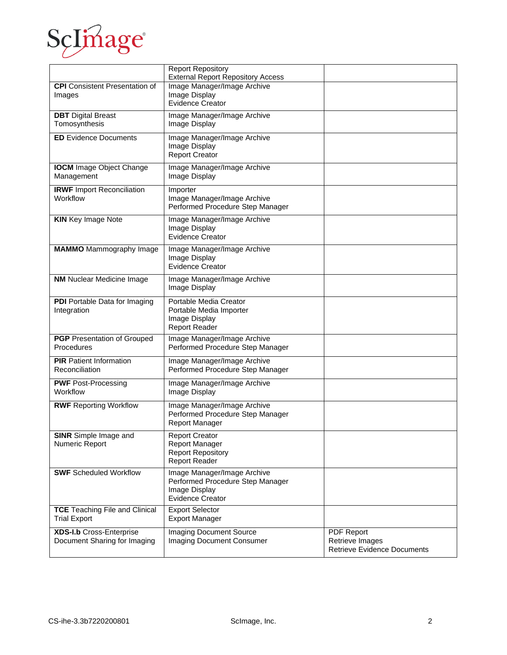

|                                                                 | <b>Report Repository</b><br><b>External Report Repository Access</b>                                 |                                                                            |
|-----------------------------------------------------------------|------------------------------------------------------------------------------------------------------|----------------------------------------------------------------------------|
| <b>CPI</b> Consistent Presentation of<br>Images                 | Image Manager/Image Archive<br>Image Display<br><b>Evidence Creator</b>                              |                                                                            |
| <b>DBT</b> Digital Breast<br>Tomosynthesis                      | Image Manager/Image Archive<br>Image Display                                                         |                                                                            |
| <b>ED</b> Evidence Documents                                    | Image Manager/Image Archive<br>Image Display<br><b>Report Creator</b>                                |                                                                            |
| <b>IOCM</b> Image Object Change<br>Management                   | Image Manager/Image Archive<br>Image Display                                                         |                                                                            |
| <b>IRWF</b> Import Reconciliation<br>Workflow                   | Importer<br>Image Manager/Image Archive<br>Performed Procedure Step Manager                          |                                                                            |
| <b>KIN</b> Key Image Note                                       | Image Manager/Image Archive<br>Image Display<br><b>Evidence Creator</b>                              |                                                                            |
| <b>MAMMO</b> Mammography Image                                  | Image Manager/Image Archive<br>Image Display<br><b>Evidence Creator</b>                              |                                                                            |
| <b>NM</b> Nuclear Medicine Image                                | Image Manager/Image Archive<br>Image Display                                                         |                                                                            |
| PDI Portable Data for Imaging<br>Integration                    | Portable Media Creator<br>Portable Media Importer<br>Image Display<br><b>Report Reader</b>           |                                                                            |
| <b>PGP</b> Presentation of Grouped<br>Procedures                | Image Manager/Image Archive<br>Performed Procedure Step Manager                                      |                                                                            |
| <b>PIR</b> Patient Information<br>Reconciliation                | Image Manager/Image Archive<br>Performed Procedure Step Manager                                      |                                                                            |
| <b>PWF</b> Post-Processing<br>Workflow                          | Image Manager/Image Archive<br>Image Display                                                         |                                                                            |
| <b>RWF Reporting Workflow</b>                                   | Image Manager/Image Archive<br>Performed Procedure Step Manager<br><b>Report Manager</b>             |                                                                            |
| <b>SINR</b> Simple Image and<br>Numeric Report                  | Report Creator<br>Report Manager<br><b>Report Repository</b><br><b>Report Reader</b>                 |                                                                            |
| <b>SWF</b> Scheduled Workflow                                   | Image Manager/Image Archive<br>Performed Procedure Step Manager<br>Image Display<br>Evidence Creator |                                                                            |
| <b>TCE Teaching File and Clinical</b><br><b>Trial Export</b>    | <b>Export Selector</b><br><b>Export Manager</b>                                                      |                                                                            |
| <b>XDS-I.b Cross-Enterprise</b><br>Document Sharing for Imaging | <b>Imaging Document Source</b><br>Imaging Document Consumer                                          | <b>PDF Report</b><br>Retrieve Images<br><b>Retrieve Evidence Documents</b> |